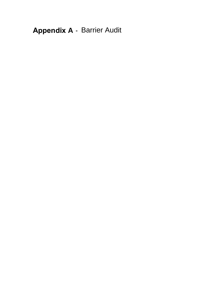**Appendix A** - Barrier Audit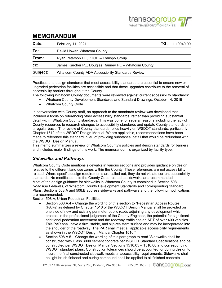

# MEMORANDUM

| Date:    | February 11, 2021                                    | TG: | 1.19049.00 |
|----------|------------------------------------------------------|-----|------------|
| To:      | David Hower, Whatcom County                          |     |            |
| From:    | Ryan Peterson PE, PTOE - Transpo Group               |     |            |
| cc:      | James Karcher PE, Douglas Ranney PE - Whatcom County |     |            |
| Subject: | Whatcom County ADA Accessibility Standards Review    |     |            |

Practices and design standards that meet accessibility standards are essential to ensure new or upgraded pedestrian facilities are accessible and that these upgrades contribute to the removal of accessibility barriers throughout the County.

The following Whatcom County documents were reviewed against current accessibility standards:

- Whatcom County Development Standards and Standard Drawings, October 14, 2019
- Whatcom County Code

In conversation with County staff, an approach to the standards review was developed that included a focus on referencing other accessibility standards, rather than providing substantial detail within Whatcom County standards. This was done for several reasons including the lack of County resources to research changes to accessibility standards and update County standards on a regular basis. The review of County standards relies heavily on WSDOT standards, particularly Chapter 1510 of the WSDOT Design Manual. Where applicable, recommendations have been made to reference this standard in leu of providing substantial detail that would be redundant with the WSDOT Design Manual.

This memo summarizes a review of Whatcom County's policies and design standards for barriers and includes major findings of this work. The memorandum is organized by facility type.

## Sidewalks and Pathways

Whatcom County Code mentions sidewalks in various sections and provides guidance on design relative to the different land use zones within the County. These references are not accessibility related. Where specific design requirements are called out, they do not violate current accessibility standards. No modifications to the County Code related to sidewalks are recommended. Most of the design guidance for sidewalks in Whatcom County is contained in Section 508, Roadside Features, of Whatcom County Development Standards and corresponding Standard Plans. Sections 508.A and 508.B address sidewalks and pathways and the following modifications are recommended:

Section 508.A, Urban Pedestrian Facilities

- Section 508.A.4 Change the wording of this section to "Pedestrian Access Routes (PARs) as defined by Chapter 1510 of the WSDOT Design Manual shall be provided on one side of new and existing perimeter public roads adjoining any development which creates, in the professional judgement of the County Engineer, the potential for significant additional pedestrian movement and the roadway traffic has an ADT of over 400 vehicles. This PAR shall have a firm, stable, and slip-resistant surface and may be incorporated into the shoulder of the roadway. The PAR shall meet all applicable accessibility requirements as shown in the WSDOT Design Manual Chapter 1510."
- Section 508.A.5 Change the wording of this paragraph to read "Sidewalks shall be constructed with Class 3000 cement concrete per WSDOT Standard Specifications and be constructed per WSDOT Design Manual Sections 1510.05 – 1510.08 and corresponding WSDOT standard plans. Construction tolerances should be accounted for during design to insure the final constructed sidewalk meets all accessibility requirements. Sidewalks shall be light brush finished and curing compound shall be applied to all finished concrete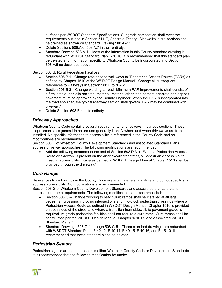surfaces per WSDOT Standard Specifications. Subgrade compaction shall meet the requirements outlined in Section 511.E, Concrete Testing. Sidewalks in cut sections shall be drained as shown on Standard Drawing 508.A-2."

- Delete Sections 508.A.6, 508.A.7 in their entirety.
- Standard Drawing 508.A-1 Most of the information in this County standard drawing is redundant with WSDOT Standard Plan F-30.10. It is recommended that this standard plan be deleted and information specific to Whatcom County be incorporated into Section 508.A.5 as described above.

Section 508.B, Rural Pedestrian Facilities

- Section 508.B.1 Change reference to walkways to "Pedestrian Access Routes (PARs) as defined by Chapter 1510 of the WSDOT Design Manual". Change all subsequent references to walkways in Section 508.B to "PAR"
- Section 508.B.3 Change wording to read "Minimum PAR improvements shall consist of a firm, stable, and slip resistant material. Material other than cement concrete and asphalt pavement must be approved by the County Engineer. When the PAR is incorporated into the road shoulder, the typical roadway section shall govern. PAR may be combined with bikeway."
- Delete Section 508.B.4 in its entirety.

### Driveway Approaches

Whatcom County Code contains several requirements for driveways in various sections. These requirements are general in nature and generally identify where and when driveways are to be installed. No specific information to accessibility is referenced in the County Code and no modifications are recommended.

Section 508.D of Whatcom County Development Standards and associated Standard Plans address driveway approaches. The following modifications are recommended:

 Add the following sentence to the end of Section 508.D.3.a: "When a Pedestrian Access Route or sidewalk is present on the arterial/collector street, a Pedestrian Access Route meeting accessibility criteria as defined in WSDOT Design Manual Chapter 1510 shall be provided through the driveway."

## Curb Ramps

References to curb ramps in the County Code are again, general in nature and do not specifically address accessibility. No modifications are recommended.

Section 508.G of Whatcom County Development Standards and associated standard plans address curb ramp requirements. The following modifications are recommended:

- Section 508.G Change wording to read "Curb ramps shall be installed at all legal pedestrian crossings including intersections and mid-block pedestrian crossings where a Pedestrian Access Route as defined in WSDOT Design Manual Chapter 1510 is provided on both sides of the street and where a transition from sidewalk to pavement grade is required. At-grade pedestrian facilities shall not require a curb ramp. Curb ramps shall be constructed per the WSDOT Design Manual, Chapter 1510.09 and associated WSDOT Standard Plans."
- Standard Drawings 508.G-1 through 508.G-5 These standard drawings are redundant with WSDOT Standard Plans F-40.12, F-40.14, F-40.15, F-40.16, and F-45.10. It is recommended that these standard plans be deleted.

## Pedestrian Signals

Pedestrian signals are not addressed in either Whatcom County Code or Development Standards. It is recommended that the following modification be made: